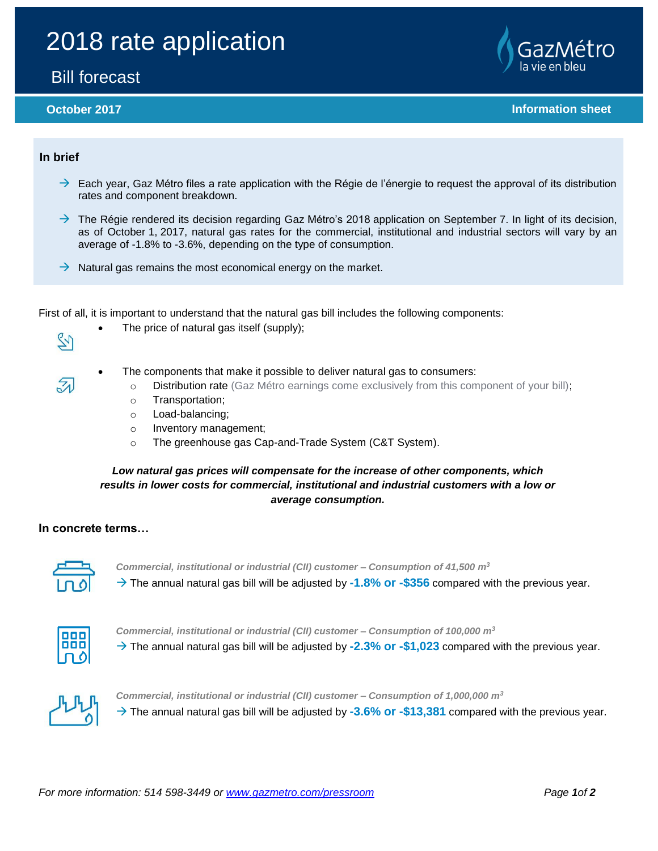# 2018 rate application

# Bill forecast



**October 2017 Information sheet** 

### **In brief**

- $\rightarrow$  Each year, Gaz Métro files a rate application with the Régie de l'énergie to request the approval of its distribution rates and component breakdown.
- $\rightarrow$  The Régie rendered its decision regarding Gaz Métro's 2018 application on September 7. In light of its decision, as of October 1, 2017, natural gas rates for the commercial, institutional and industrial sectors will vary by an average of -1.8% to -3.6%, depending on the type of consumption.
- $\rightarrow$  Natural gas remains the most economical energy on the market.

First of all, it is important to understand that the natural gas bill includes the following components:

54

 $\zeta_A$ 

- The price of natural gas itself (supply);
- The components that make it possible to deliver natural gas to consumers:
	- o Distribution rate (Gaz Métro earnings come exclusively from this component of your bill);
	- o Transportation;
	- o Load-balancing;
	- o Inventory management;
	- o The greenhouse gas Cap-and-Trade System (C&T System).

### *Low natural gas prices will compensate for the increase of other components, which results in lower costs for commercial, institutional and industrial customers with a low or average consumption.*

#### **In concrete terms…**



*Commercial, institutional or industrial (CII) customer – Consumption of 41,500 m<sup>3</sup>*  $\rightarrow$  The annual natural gas bill will be adjusted by -1.8% or -\$356 compared with the previous year.

*Commercial, institutional or industrial (CII) customer – Consumption of 100,000 m<sup>3</sup>*

 $\rightarrow$  The annual natural gas bill will be adjusted by **-2.3% or -\$1,023** compared with the previous year.



*Commercial, institutional or industrial (CII) customer – Consumption of 1,000,000 m<sup>3</sup>*  $\rightarrow$  The annual natural gas bill will be adjusted by -3.6% or -\$13,381 compared with the previous year.